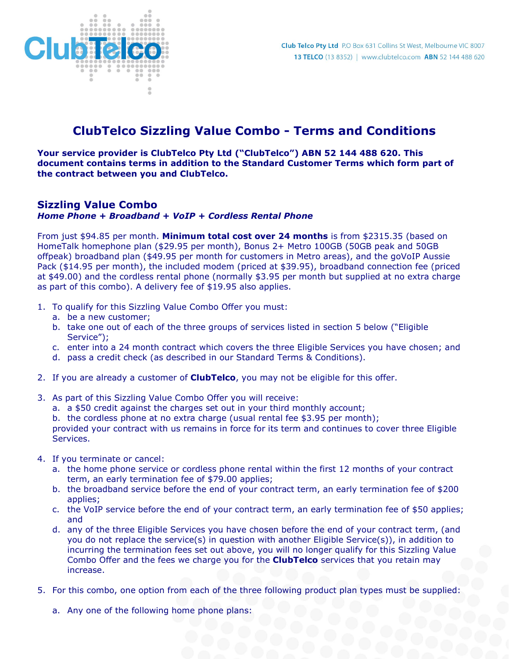

## ClubTelco Sizzling Value Combo - Terms and Conditions

Your service provider is ClubTelco Pty Ltd ("ClubTelco") ABN 52 144 488 620. This document contains terms in addition to the Standard Customer Terms which form part of the contract between you and ClubTelco.

## Sizzling Value Combo

Home Phone + Broadband + VoIP + Cordless Rental Phone

From just \$94.85 per month. Minimum total cost over 24 months is from \$2315.35 (based on HomeTalk homephone plan (\$29.95 per month), Bonus 2+ Metro 100GB (50GB peak and 50GB offpeak) broadband plan (\$49.95 per month for customers in Metro areas), and the goVoIP Aussie Pack (\$14.95 per month), the included modem (priced at \$39.95), broadband connection fee (priced at \$49.00) and the cordless rental phone (normally \$3.95 per month but supplied at no extra charge as part of this combo). A delivery fee of \$19.95 also applies.

- 1. To qualify for this Sizzling Value Combo Offer you must:
	- a. be a new customer;
	- b. take one out of each of the three groups of services listed in section 5 below ("Eligible Service");
	- c. enter into a 24 month contract which covers the three Eligible Services you have chosen; and
	- d. pass a credit check (as described in our Standard Terms & Conditions).
- 2. If you are already a customer of **ClubTelco**, you may not be eligible for this offer.
- 3. As part of this Sizzling Value Combo Offer you will receive:
	- a. a \$50 credit against the charges set out in your third monthly account;
	- b. the cordless phone at no extra charge (usual rental fee \$3.95 per month);

provided your contract with us remains in force for its term and continues to cover three Eligible Services.

- 4. If you terminate or cancel:
	- a. the home phone service or cordless phone rental within the first 12 months of your contract term, an early termination fee of \$79.00 applies;
	- b. the broadband service before the end of your contract term, an early termination fee of \$200 applies;
	- c. the VoIP service before the end of your contract term, an early termination fee of \$50 applies; and
	- d. any of the three Eligible Services you have chosen before the end of your contract term, (and you do not replace the service(s) in question with another Eligible Service(s)), in addition to incurring the termination fees set out above, you will no longer qualify for this Sizzling Value Combo Offer and the fees we charge you for the **ClubTelco** services that you retain may increase.
- 5. For this combo, one option from each of the three following product plan types must be supplied:
	- a. Any one of the following home phone plans: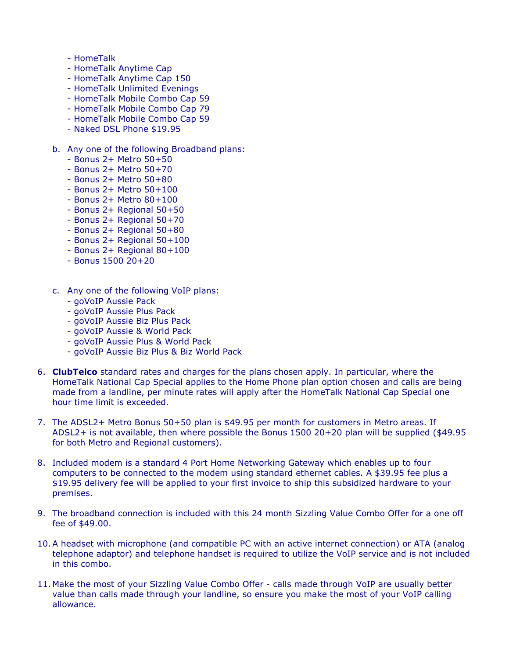- HomeTalk
- HomeTalk Anytime Cap
- HomeTalk Anytime Cap 150
- HomeTalk Unlimited Evenings
- HomeTalk Mobile Combo Cap 59
- HomeTalk Mobile Combo Cap 79
- HomeTalk Mobile Combo Cap 59
- Naked DSL Phone \$19.95

## b. Any one of the following Broadband plans:

- Bonus 2+ Metro 50+50
- Bonus 2+ Metro 50+70
- Bonus 2+ Metro 50+80
- Bonus 2+ Metro 50+100
- Bonus 2+ Metro 80+100
- Bonus 2+ Regional 50+50
- Bonus 2+ Regional 50+70
- Bonus 2+ Regional 50+80
- Bonus 2+ Regional 50+100
- Bonus 2+ Regional 80+100
- Bonus 1500 20+20
- c. Any one of the following VoIP plans:
	- goVoIP Aussie Pack
	- goVoIP Aussie Plus Pack
	- goVoIP Aussie Biz Plus Pack
	- goVoIP Aussie & World Pack
	- goVoIP Aussie Plus & World Pack
	- goVoIP Aussie Biz Plus & Biz World Pack
- 6. ClubTelco standard rates and charges for the plans chosen apply. In particular, where the HomeTalk National Cap Special applies to the Home Phone plan option chosen and calls are being made from a landline, per minute rates will apply after the HomeTalk National Cap Special one hour time limit is exceeded.
- 7. The ADSL2+ Metro Bonus 50+50 plan is \$49.95 per month for customers in Metro areas. If ADSL2+ is not available, then where possible the Bonus 1500 20+20 plan will be supplied (\$49.95 for both Metro and Regional customers).
- 8. Included modem is a standard 4 Port Home Networking Gateway which enables up to four computers to be connected to the modem using standard ethernet cables. A \$39.95 fee plus a \$19.95 delivery fee will be applied to your first invoice to ship this subsidized hardware to your premises.
- 9. The broadband connection is included with this 24 month Sizzling Value Combo Offer for a one off fee of \$49.00.
- 10.A headset with microphone (and compatible PC with an active internet connection) or ATA (analog telephone adaptor) and telephone handset is required to utilize the VoIP service and is not included in this combo.
- 11. Make the most of your Sizzling Value Combo Offer calls made through VoIP are usually better value than calls made through your landline, so ensure you make the most of your VoIP calling allowance.